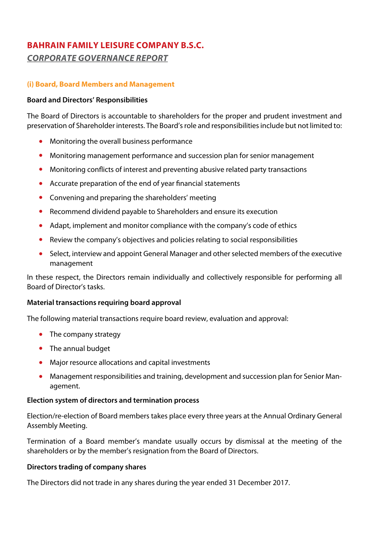## **(i) Board, Board Members and Management**

#### **Board and Directors' Responsibilities**

The Board of Directors is accountable to shareholders for the proper and prudent investment and preservation of Shareholder interests. The Board's role and responsibilities include but not limited to:

- Monitoring the overall business performance
- Monitoring management performance and succession plan for senior management
- Monitoring conflicts of interest and preventing abusive related party transactions
- Accurate preparation of the end of year financial statements
- Convening and preparing the shareholders' meeting
- Recommend dividend payable to Shareholders and ensure its execution
- Adapt, implement and monitor compliance with the company's code of ethics
- Review the company's objectives and policies relating to social responsibilities
- Select, interview and appoint General Manager and other selected members of the executive management

In these respect, the Directors remain individually and collectively responsible for performing all Board of Director's tasks.

### **Material transactions requiring board approval**

The following material transactions require board review, evaluation and approval:

- The company strategy
- The annual budget
- Major resource allocations and capital investments
- Management responsibilities and training, development and succession plan for Senior Management.

## **Election system of directors and termination process**

Election/re-election of Board members takes place every three years at the Annual Ordinary General Assembly Meeting.

Termination of a Board member's mandate usually occurs by dismissal at the meeting of the shareholders or by the member's resignation from the Board of Directors.

### **Directors trading of company shares**

The Directors did not trade in any shares during the year ended 31 December 2017.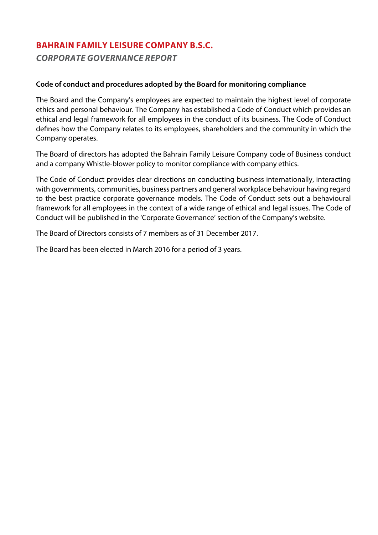## **Code of conduct and procedures adopted by the Board for monitoring compliance**

The Board and the Company's employees are expected to maintain the highest level of corporate ethics and personal behaviour. The Company has established a Code of Conduct which provides an ethical and legal framework for all employees in the conduct of its business. The Code of Conduct defines how the Company relates to its employees, shareholders and the community in which the Company operates.

The Board of directors has adopted the Bahrain Family Leisure Company code of Business conduct and a company Whistle-blower policy to monitor compliance with company ethics.

The Code of Conduct provides clear directions on conducting business internationally, interacting with governments, communities, business partners and general workplace behaviour having regard to the best practice corporate governance models. The Code of Conduct sets out a behavioural framework for all employees in the context of a wide range of ethical and legal issues. The Code of Conduct will be published in the 'Corporate Governance' section of the Company's website.

The Board of Directors consists of 7 members as of 31 December 2017.

The Board has been elected in March 2016 for a period of 3 years.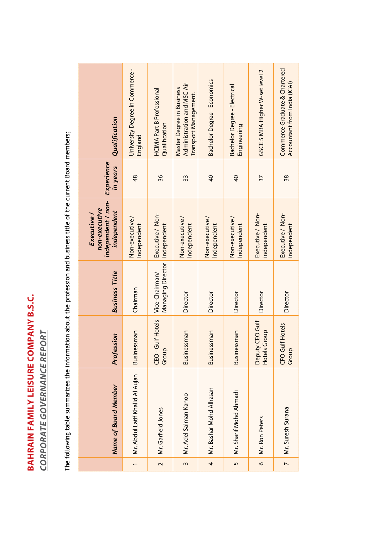# **BAHRAIN FAMILY LEISURE COMPANY B.S.C. BAHRAIN FAMILY LEISURE COMPANY B.S.C.**

**CORPORATE GOVERNANCE REPORT** *CORPORATE GOVERNANCE REPORT*

The following table summarizes the information about the profession and business title of the current Board members; The following table summarizes the information about the profession and business title of the current Board members;

| Qualification<br>Experience<br>in years                           | University Degree in Commerce-<br>England<br>48 | <b>HCIMA Part B Professional</b><br>Qualification<br>36 | Administration and MSC Air<br>Master Degree in Business<br>Transport Management.<br>33 | <b>Bachelor Degree - Economics</b><br>$\overline{a}$ |                        | <b>Bachelor Degree - Electrical</b><br>Engineering<br>$\overline{4}$ | GSCE 5 MBA Higher W-set level 2<br>57 |
|-------------------------------------------------------------------|-------------------------------------------------|---------------------------------------------------------|----------------------------------------------------------------------------------------|------------------------------------------------------|------------------------|----------------------------------------------------------------------|---------------------------------------|
| independent / non-<br>non-executive<br>independent<br>Executive / | Non-executive/<br>Independent                   | Executive / Non-<br>independent                         | Non-executive/<br>Independent                                                          | Non-executive/<br>Independent                        | Non-executive/         | Independent                                                          | Executive / Non-<br>independent       |
| <b>Business Title</b>                                             | Chairman                                        | Managing Director<br>Vice-Chairman/                     | Director                                                                               | Director                                             | Director               |                                                                      | Director                              |
| Profession                                                        | <b>Businessman</b>                              | Gulf Hotels<br>Group<br>CEO-                            | <b>Businessman</b>                                                                     | <b>Businessman</b>                                   | <b>Businessman</b>     |                                                                      | Deputy CEO Gulf<br>Hotels Group       |
| Name of Board Member                                              | Mr. Abdul Latif Khalid AI Aujan                 | Mr. Garfield Jones                                      | Mr. Adel Salman Kanoo                                                                  | Mr. Bashar Mohd Alhasan                              | Mr. Sharif Mohd Ahmadi |                                                                      | Mr. Ron Peters                        |
|                                                                   |                                                 | $\sim$                                                  | 3                                                                                      | 4                                                    | $\overline{5}$         |                                                                      | $\circ$                               |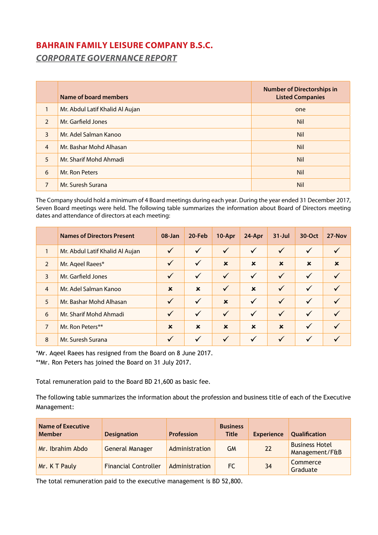|                | Name of board members           | <b>Number of Directorships in</b><br><b>Listed Companies</b> |
|----------------|---------------------------------|--------------------------------------------------------------|
| $\mathbf{1}$   | Mr. Abdul Latif Khalid Al Aujan | one                                                          |
| $\mathcal{L}$  | Mr. Garfield Jones              | <b>Nil</b>                                                   |
| 3              | Mr. Adel Salman Kanoo           | <b>Nil</b>                                                   |
| $\overline{4}$ | Mr. Bashar Mohd Alhasan         | <b>Nil</b>                                                   |
| 5              | Mr. Sharif Mohd Ahmadi          | <b>Nil</b>                                                   |
| 6              | Mr. Ron Peters                  | <b>Nil</b>                                                   |
| 7              | Mr. Suresh Surana               | <b>Nil</b>                                                   |

The Company should hold a minimum of 4 Board meetings during each year. During the year ended 31 December 2017, Seven Board meetings were held. The following table summarizes the information about Board of Directors meeting dates and attendance of directors at each meeting:

|                | <b>Names of Directors Present</b> | $08 - Jan$   | 20-Feb       | 10-Apr                    | 24-Apr       | $31 -$ Jul   | 30-Oct       | 27-Nov      |
|----------------|-----------------------------------|--------------|--------------|---------------------------|--------------|--------------|--------------|-------------|
| $\mathbf{1}$   | Mr. Abdul Latif Khalid Al Aujan   | $\checkmark$ | $\checkmark$ | $\checkmark$              | ✓            | $\checkmark$ | $\checkmark$ |             |
| $\overline{2}$ | Mr. Ageel Raees*                  | $\checkmark$ | $\checkmark$ | $\boldsymbol{\mathsf{x}}$ | $\mathbf x$  | $\mathbf x$  | $\mathbf x$  | $\mathbf x$ |
| $\overline{3}$ | Mr. Garfield Jones                | $\checkmark$ | $\checkmark$ | $\checkmark$              | ✓            | $\checkmark$ | $\checkmark$ |             |
| $\overline{4}$ | Mr. Adel Salman Kanoo             | $\mathbf x$  | $\mathbf x$  | $\checkmark$              | $\mathbf x$  | $\checkmark$ | $\checkmark$ |             |
| 5              | Mr. Bashar Mohd Alhasan           | $\checkmark$ | $\checkmark$ | $\mathbf x$               | $\checkmark$ | $\checkmark$ | $\checkmark$ |             |
| 6              | Mr. Sharif Mohd Ahmadi            | $\checkmark$ | $\checkmark$ | $\checkmark$              | $\checkmark$ | $\checkmark$ | $\checkmark$ |             |
| $\overline{7}$ | Mr. Ron Peters**                  | $\mathbf x$  | $\mathbf x$  | $\mathbf x$               | $\mathbf x$  | $\mathbf x$  | $\checkmark$ |             |
| 8              | Mr. Suresh Surana                 | $\checkmark$ | ✓            | $\checkmark$              | $\checkmark$ | $\checkmark$ | $\checkmark$ |             |

\*Mr. Aqeel Raees has resigned from the Board on 8 June 2017. \*\*Mr. Ron Peters has joined the Board on 31 July 2017.

Total remuneration paid to the Board BD 21,600 as basic fee.

The following table summarizes the information about the profession and business title of each of the Executive Management:

| <b>Name of Executive</b><br><b>Member</b> | <b>Designation</b>          | <b>Profession</b> | <b>Business</b><br><b>Title</b> | <b>Experience</b> | <b>Qualification</b>                    |
|-------------------------------------------|-----------------------------|-------------------|---------------------------------|-------------------|-----------------------------------------|
| Mr. Ibrahim Abdo                          | General Manager             | Administration    | GМ                              | 22                | <b>Business Hotel</b><br>Management/F&B |
| Mr. K T Pauly                             | <b>Financial Controller</b> | Administration    | FC.                             | 34                | Commerce<br>Graduate                    |

The total remuneration paid to the executive management is BD 52,800.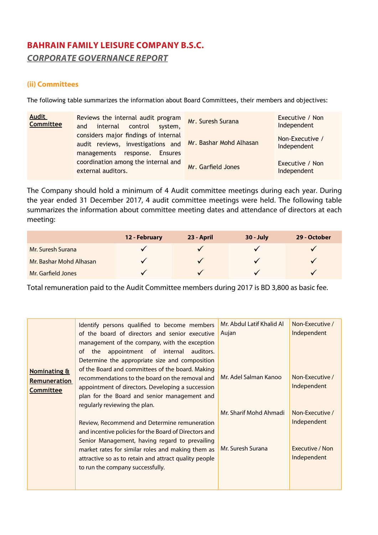## **(ii) Committees**

The following table summarizes the information about Board Committees, their members and objectives:

| <b>Audit</b><br><b>Committee</b> | Reviews the internal audit program<br>internal<br>control<br>and<br>system,                                          | Mr. Suresh Surana       | Executive / Non<br>Independent |
|----------------------------------|----------------------------------------------------------------------------------------------------------------------|-------------------------|--------------------------------|
|                                  | considers major findings of internal<br>audit reviews, investigations and<br>managements response.<br><b>Ensures</b> | Mr. Bashar Mohd Alhasan | Non-Executive /<br>Independent |
|                                  | coordination among the internal and<br>external auditors.                                                            | Mr. Garfield Jones      | Executive / Non<br>Independent |

The Company should hold a minimum of 4 Audit committee meetings during each year. During the year ended 31 December 2017, 4 audit committee meetings were held. The following table summarizes the information about committee meeting dates and attendance of directors at each meeting:

|                         | 12 - February | 23 - April | <b>30 - July</b> | 29 - October |
|-------------------------|---------------|------------|------------------|--------------|
| Mr. Suresh Surana       |               |            |                  | $\checkmark$ |
| Mr. Bashar Mohd Alhasan |               |            | $\checkmark$     | $\checkmark$ |
| Mr. Garfield Jones      |               |            |                  | $\checkmark$ |

Total remuneration paid to the Audit Committee members during 2017 is BD 3,800 as basic fee.

|                         | Identify persons qualified to become members          | Mr. Abdul Latif Khalid Al | Non-Executive / |
|-------------------------|-------------------------------------------------------|---------------------------|-----------------|
|                         | of the board of directors and senior executive        | Aujan                     | Independent     |
|                         | management of the company, with the exception         |                           |                 |
|                         | appointment of internal<br>auditors.<br>οf<br>the     |                           |                 |
|                         | Determine the appropriate size and composition        |                           |                 |
| <b>Nominating &amp;</b> | of the Board and committees of the board. Making      |                           |                 |
|                         | recommendations to the board on the removal and       | Mr. Adel Salman Kanoo     | Non-Executive / |
| <b>Remuneration</b>     | appointment of directors. Developing a succession     |                           | Independent     |
| <b>Committee</b>        |                                                       |                           |                 |
|                         | plan for the Board and senior management and          |                           |                 |
|                         | regularly reviewing the plan.                         |                           |                 |
|                         |                                                       | Mr. Sharif Mohd Ahmadi    | Non-Executive / |
|                         | Review, Recommend and Determine remuneration          |                           | Independent     |
|                         | and incentive policies for the Board of Directors and |                           |                 |
|                         | Senior Management, having regard to prevailing        |                           |                 |
|                         | market rates for similar roles and making them as     | Mr. Suresh Surana         | Executive / Non |
|                         |                                                       |                           | Independent     |
|                         | attractive so as to retain and attract quality people |                           |                 |
|                         | to run the company successfully.                      |                           |                 |
|                         |                                                       |                           |                 |
|                         |                                                       |                           |                 |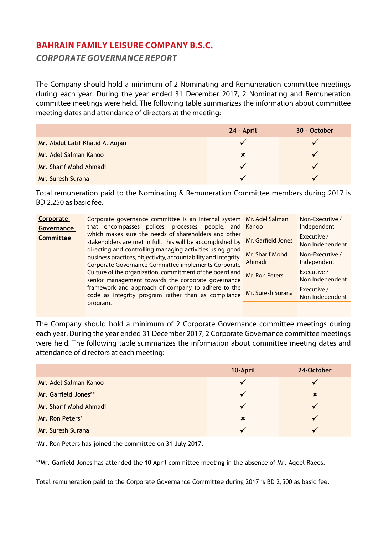The Company should hold a minimum of 2 Nominating and Remuneration committee meetings during each year. During the year ended 31 December 2017, 2 Nominating and Remuneration committee meetings were held. The following table summarizes the information about committee meeting dates and attendance of directors at the meeting:

|                                 | 24 - April | 30 - October |
|---------------------------------|------------|--------------|
| Mr. Abdul Latif Khalid Al Aujan |            |              |
| Mr. Adel Salman Kanoo           | ×          |              |
| Mr. Sharif Mohd Ahmadi          |            |              |
| Mr. Suresh Surana               |            |              |

Total remuneration paid to the Nominating & Remuneration Committee members during 2017 is BD 2,250 as basic fee.

| <b>Corporate</b><br><b>Governance</b> | Corporate governance committee is an internal system Mr. Adel Salman<br>that encompasses polices, processes, people, and Kanoo                                                    |                           | Non-Executive /<br>Independent |
|---------------------------------------|-----------------------------------------------------------------------------------------------------------------------------------------------------------------------------------|---------------------------|--------------------------------|
| <b>Committee</b>                      | which makes sure the needs of shareholders and other<br>stakeholders are met in full. This will be accomplished by                                                                | Mr. Garfield Jones        | Executive /<br>Non Independent |
|                                       | directing and controlling managing activities using good<br>business practices, objectivity, accountability and integrity.<br>Corporate Governance Committee implements Corporate | Mr. Sharif Mohd<br>Ahmadi | Non-Executive /<br>Independent |
|                                       | Culture of the organization, commitment of the board and<br>senior management towards the corporate governance                                                                    | Mr. Ron Peters            | Executive /<br>Non Independent |
|                                       | framework and approach of company to adhere to the<br>code as integrity program rather than as compliance                                                                         | Mr. Suresh Surana         | Executive /<br>Non Independent |
|                                       | program.                                                                                                                                                                          |                           |                                |

The Company should hold a minimum of 2 Corporate Governance committee meetings during each year. During the year ended 31 December 2017, 2 Corporate Governance committee meetings were held. The following table summarizes the information about committee meeting dates and attendance of directors at each meeting:

|                        | 10-April     | 24-October  |
|------------------------|--------------|-------------|
| Mr. Adel Salman Kanoo  | $\checkmark$ |             |
| Mr. Garfield Jones**   | $\checkmark$ | $\mathbf x$ |
| Mr. Sharif Mohd Ahmadi | $\checkmark$ |             |
| Mr. Ron Peters*        | $\mathbf x$  |             |
| Mr. Suresh Surana      | $\checkmark$ |             |

\*Mr. Ron Peters has joined the committee on 31 July 2017.

\*\*Mr. Garfield Jones has attended the 10 April committee meeting in the absence of Mr. Aqeel Raees.

Total remuneration paid to the Corporate Governance Committee during 2017 is BD 2,500 as basic fee.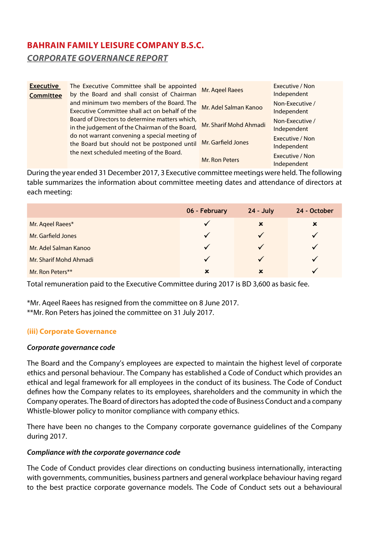| <b>Executive</b><br><b>Committee</b> | The Executive Committee shall be appointed<br>by the Board and shall consist of Chairman         | Mr. Ageel Raees        | Executive / Non<br>Independent |
|--------------------------------------|--------------------------------------------------------------------------------------------------|------------------------|--------------------------------|
|                                      | and minimum two members of the Board. The<br>Executive Committee shall act on behalf of the      | Mr. Adel Salman Kanoo  | Non-Executive /<br>Independent |
|                                      | Board of Directors to determine matters which,<br>in the judgement of the Chairman of the Board, | Mr. Sharif Mohd Ahmadi | Non-Executive /<br>Independent |
|                                      | do not warrant convening a special meeting of<br>the Board but should not be postponed until     | Mr. Garfield Jones     | Executive / Non<br>Independent |
|                                      | the next scheduled meeting of the Board.                                                         | Mr. Ron Peters         | Executive / Non<br>Independent |

During the year ended 31 December 2017, 3 Executive committee meetings were held. The following table summarizes the information about committee meeting dates and attendance of directors at each meeting:

|                        | 06 - February | $24 - July$ | 24 - October |
|------------------------|---------------|-------------|--------------|
| Mr. Ageel Raees*       | ✓             | $\mathbf x$ | ×            |
| Mr. Garfield Jones     | ✓             |             |              |
| Mr. Adel Salman Kanoo  | $\checkmark$  |             |              |
| Mr. Sharif Mohd Ahmadi | $\checkmark$  |             |              |
| Mr. Ron Peters**       | $\mathbf x$   | $\mathbf x$ |              |

Total remuneration paid to the Executive Committee during 2017 is BD 3,600 as basic fee.

\*Mr. Aqeel Raees has resigned from the committee on 8 June 2017. \*\*Mr. Ron Peters has joined the committee on 31 July 2017.

### **(iii) Corporate Governance**

#### *Corporate governance code*

The Board and the Company's employees are expected to maintain the highest level of corporate ethics and personal behaviour. The Company has established a Code of Conduct which provides an ethical and legal framework for all employees in the conduct of its business. The Code of Conduct defines how the Company relates to its employees, shareholders and the community in which the Company operates. The Board of directors has adopted the code of Business Conduct and a company Whistle-blower policy to monitor compliance with company ethics.

There have been no changes to the Company corporate governance guidelines of the Company during 2017.

#### *Compliance with the corporate governance code*

The Code of Conduct provides clear directions on conducting business internationally, interacting with governments, communities, business partners and general workplace behaviour having regard to the best practice corporate governance models. The Code of Conduct sets out a behavioural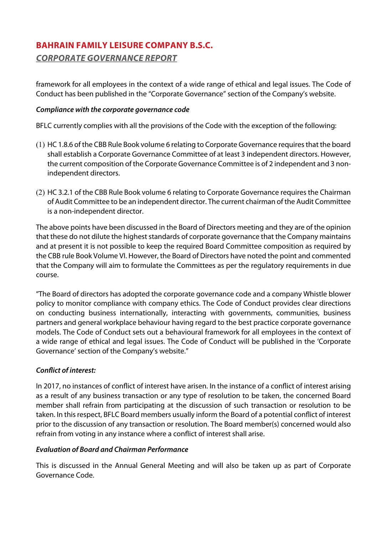framework for all employees in the context of a wide range of ethical and legal issues. The Code of Conduct has been published in the "Corporate Governance" section of the Company's website.

## *Compliance with the corporate governance code*

BFLC currently complies with all the provisions of the Code with the exception of the following:

- (1) HC 1.8.6 of the CBB Rule Book volume 6 relating to Corporate Governance requires that the board shall establish a Corporate Governance Committee of at least 3 independent directors. However, the current composition of the Corporate Governance Committee is of 2 independent and 3 nonindependent directors.
- (2) HC 3.2.1 of the CBB Rule Book volume 6 relating to Corporate Governance requires the Chairman of Audit Committee to be an independent director. The current chairman of the Audit Committee is a non-independent director.

The above points have been discussed in the Board of Directors meeting and they are of the opinion that these do not dilute the highest standards of corporate governance that the Company maintains and at present it is not possible to keep the required Board Committee composition as required by the CBB rule Book Volume VI. However, the Board of Directors have noted the point and commented that the Company will aim to formulate the Committees as per the regulatory requirements in due course.

"The Board of directors has adopted the corporate governance code and a company Whistle blower policy to monitor compliance with company ethics. The Code of Conduct provides clear directions on conducting business internationally, interacting with governments, communities, business partners and general workplace behaviour having regard to the best practice corporate governance models. The Code of Conduct sets out a behavioural framework for all employees in the context of a wide range of ethical and legal issues. The Code of Conduct will be published in the 'Corporate Governance' section of the Company's website."

## *Conflict of interest:*

In 2017, no instances of conflict of interest have arisen. In the instance of a conflict of interest arising as a result of any business transaction or any type of resolution to be taken, the concerned Board member shall refrain from participating at the discussion of such transaction or resolution to be taken. In this respect, BFLC Board members usually inform the Board of a potential conflict of interest prior to the discussion of any transaction or resolution. The Board member(s) concerned would also refrain from voting in any instance where a conflict of interest shall arise.

### *Evaluation of Board and Chairman Performance*

This is discussed in the Annual General Meeting and will also be taken up as part of Corporate Governance Code.